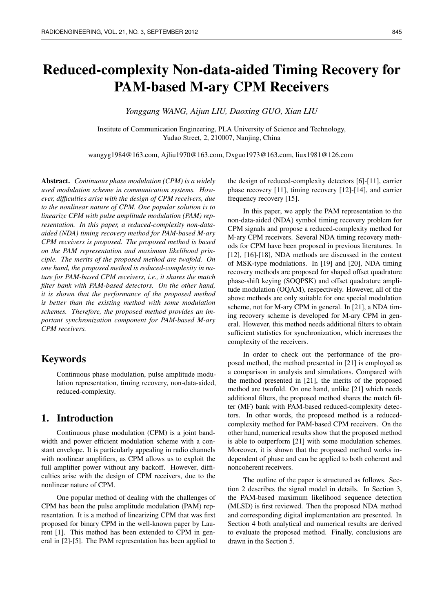# Reduced-complexity Non-data-aided Timing Recovery for PAM-based M-ary CPM Receivers

*Yonggang WANG, Aijun LIU, Daoxing GUO, Xian LIU*

Institute of Communication Engineering, PLA University of Science and Technology, Yudao Street, 2, 210007, Nanjing, China

wangyg1984@163.com, Ajliu1970@163.com, Dxguo1973@163.com, liux1981@126.com

Abstract. *Continuous phase modulation (CPM) is a widely used modulation scheme in communication systems. However, difficulties arise with the design of CPM receivers, due to the nonlinear nature of CPM. One popular solution is to linearize CPM with pulse amplitude modulation (PAM) representation. In this paper, a reduced-complexity non-dataaided (NDA) timing recovery method for PAM-based M-ary CPM receivers is proposed. The proposed method is based on the PAM representation and maximum likelihood principle. The merits of the proposed method are twofold. On one hand, the proposed method is reduced-complexity in nature for PAM-based CPM receivers, i.e., it shares the match filter bank with PAM-based detectors. On the other hand, it is shown that the performance of the proposed method is better than the existing method with some modulation schemes. Therefore, the proposed method provides an important synchronization component for PAM-based M-ary CPM receivers.*

# Keywords

Continuous phase modulation, pulse amplitude modulation representation, timing recovery, non-data-aided, reduced-complexity.

## 1. Introduction

Continuous phase modulation (CPM) is a joint bandwidth and power efficient modulation scheme with a constant envelope. It is particularly appealing in radio channels with nonlinear amplifiers, as CPM allows us to exploit the full amplifier power without any backoff. However, difficulties arise with the design of CPM receivers, due to the nonlinear nature of CPM.

One popular method of dealing with the challenges of CPM has been the pulse amplitude modulation (PAM) representation. It is a method of linearizing CPM that was first proposed for binary CPM in the well-known paper by Laurent [1]. This method has been extended to CPM in general in [2]-[5]. The PAM representation has been applied to the design of reduced-complexity detectors [6]-[11], carrier phase recovery [11], timing recovery [12]-[14], and carrier frequency recovery [15].

In this paper, we apply the PAM representation to the non-data-aided (NDA) symbol timing recovery problem for CPM signals and propose a reduced-complexity method for M-ary CPM receivers. Several NDA timing recovery methods for CPM have been proposed in previous literatures. In [12], [16]-[18], NDA methods are discussed in the context of MSK-type modulations. In [19] and [20], NDA timing recovery methods are proposed for shaped offset quadrature phase-shift keying (SOQPSK) and offset quadrature amplitude modulation (OQAM), respectively. However, all of the above methods are only suitable for one special modulation scheme, not for M-ary CPM in general. In [21], a NDA timing recovery scheme is developed for M-ary CPM in general. However, this method needs additional filters to obtain sufficient statistics for synchronization, which increases the complexity of the receivers.

In order to check out the performance of the proposed method, the method presented in [21] is employed as a comparison in analysis and simulations. Compared with the method presented in [21], the merits of the proposed method are twofold. On one hand, unlike [21] which needs additional filters, the proposed method shares the match filter (MF) bank with PAM-based reduced-complexity detectors. In other words, the proposed method is a reducedcomplexity method for PAM-based CPM receivers. On the other hand, numerical results show that the proposed method is able to outperform [21] with some modulation schemes. Moreover, it is shown that the proposed method works independent of phase and can be applied to both coherent and noncoherent receivers.

The outline of the paper is structured as follows. Section 2 describes the signal model in details. In Section 3, the PAM-based maximum likelihood sequence detection (MLSD) is first reviewed. Then the proposed NDA method and corresponding digital implementation are presented. In Section 4 both analytical and numerical results are derived to evaluate the proposed method. Finally, conclusions are drawn in the Section 5.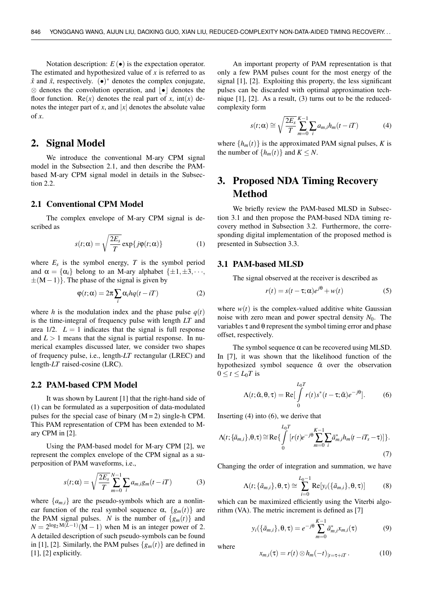Notation description:  $E(\bullet)$  is the expectation operator. The estimated and hypothesized value of *x* is referred to as  $\hat{x}$  and  $\tilde{x}$ , respectively. ( $\bullet$ )<sup>\*</sup> denotes the complex conjugate,  $\otimes$  denotes the convolution operation, and  $\cdot \cdot$  denotes the floor function. Re(*x*) denotes the real part of *x*,  $int(x)$  denotes the integer part of *x*, and  $|x|$  denotes the absolute value of *x*.

# 2. Signal Model

We introduce the conventional M-ary CPM signal model in the Subsection 2.1, and then describe the PAMbased M-ary CPM signal model in details in the Subsection 2.2.

#### 2.1 Conventional CPM Model

The complex envelope of M-ary CPM signal is described as

$$
s(t; \alpha) = \sqrt{\frac{2E_s}{T}} \exp\{j\varphi(t; \alpha)\}
$$
 (1)

where  $E_s$  is the symbol energy,  $T$  is the symbol period and  $\alpha = {\alpha_i}$  belong to an M-ary alphabet  ${\pm 1, \pm 3, \cdots}$  $\pm(M-1)$ . The phase of the signal is given by

$$
\varphi(t;\alpha) = 2\pi \sum_{i} \alpha_{i} hq(t - iT)
$$
 (2)

where *h* is the modulation index and the phase pulse  $q(t)$ is the time-integral of frequency pulse with length *LT* and area  $1/2$ .  $L = 1$  indicates that the signal is full response and  $L > 1$  means that the signal is partial response. In numerical examples discussed later, we consider two shapes of frequency pulse, i.e., length-*LT* rectangular (LREC) and length-*LT* raised-cosine (LRC).

#### 2.2 PAM-based CPM Model

It was shown by Laurent [1] that the right-hand side of (1) can be formulated as a superposition of data-modulated pulses for the special case of binary  $(M = 2)$  single-h CPM. This PAM representation of CPM has been extended to Mary CPM in [2].

Using the PAM-based model for M-ary CPM [2], we represent the complex envelope of the CPM signal as a superposition of PAM waveforms, i.e.,

$$
s(t; \alpha) = \sqrt{\frac{2E_s}{T}} \sum_{m=0}^{N-1} \sum_{i} a_{m,i} g_m(t - iT)
$$
 (3)

where  $\{a_{m,i}\}\$  are the pseudo-symbols which are a nonlinear function of the real symbol sequence  $\alpha$ ,  $\{g_m(t)\}\$ are the PAM signal pulses. *N* is the number of  $\{g_m(t)\}\$ and  $N = 2^{\log_2 M(L-1)}(M-1)$  when M is an integer power of 2. A detailed description of such pseudo-symbols can be found in [1], [2]. Similarly, the PAM pulses  $\{g_m(t)\}\$ are defined in [1], [2] explicitly.

An important property of PAM representation is that only a few PAM pulses count for the most energy of the signal [1], [2]. Exploiting this property, the less significant pulses can be discarded with optimal approximation technique [1], [2]. As a result, (3) turns out to be the reducedcomplexity form

$$
s(t; \alpha) \cong \sqrt{\frac{2E_s}{T}} \sum_{m=0}^{K-1} \sum_{i} a_{m,i} h_m(t - iT)
$$
 (4)

where  $\{h_m(t)\}\$ is the approximated PAM signal pulses, *K* is the number of  $\{h_m(t)\}\$  and  $K \leq N$ .

# 3. Proposed NDA Timing Recovery Method

We briefly review the PAM-based MLSD in Subsection 3.1 and then propose the PAM-based NDA timing recovery method in Subsection 3.2. Furthermore, the corresponding digital implementation of the proposed method is presented in Subsection 3.3.

#### 3.1 PAM-based MLSD

The signal observed at the receiver is described as

$$
r(t) = s(t - \tau; \alpha)e^{j\theta} + w(t)
$$
 (5)

where  $w(t)$  is the complex-valued additive white Gaussian noise with zero mean and power spectral density  $N_0$ . The variables  $\tau$  and  $\theta$  represent the symbol timing error and phase offset, respectively.

The symbol sequence  $\alpha$  can be recovered using MLSD. In [7], it was shown that the likelihood function of the hypothesized symbol sequence  $\tilde{\alpha}$  over the observation  $0 \le t \le L_0 T$  is

$$
\Lambda(t; \tilde{\alpha}, \theta, \tau) = \text{Re}\left[\int_{0}^{L_{0}T} r(t)s^{*}(t-\tau; \tilde{\alpha})e^{-j\theta}\right].
$$
 (6)

Inserting (4) into (6), we derive that

$$
\Lambda(t; \{\tilde{a}_{m,i}\}, \theta, \tau) \cong \text{Re}\left\{\int\limits_{0}^{L_{0}T} [r(t)e^{-j\theta} \sum_{m=0}^{K-1} \sum_{i} \tilde{a}_{m,i}^{*} h_{m}(t - iT_{s} - \tau)]\right\}.
$$
\n(7)

Changing the order of integration and summation, we have

$$
\Lambda(t; \{\tilde{a}_{m,i}\}, \theta, \tau) \cong \sum_{i=0}^{L_0-1} \text{Re}[y_i(\{\tilde{a}_{m,i}\}, \theta, \tau)] \tag{8}
$$

which can be maximized efficiently using the Viterbi algorithm (VA). The metric increment is defined as [7]

$$
y_i(\{\tilde{a}_{m,i}\}, \theta, \tau) = e^{-j\theta} \sum_{m=0}^{K-1} \tilde{a}_{m,i}^* x_{m,i}(\tau)
$$
(9)

where

$$
x_{m,i}(\tau) = r(t) \otimes h_m(-t)|_{t=\tau+iT}.
$$
 (10)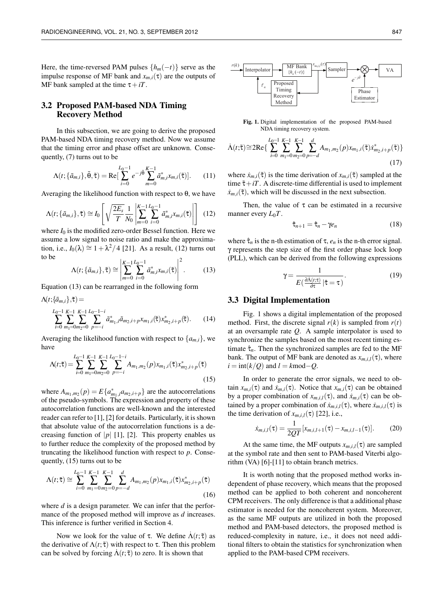Here, the time-reversed PAM pulses  $\{h_m(-t)\}\$  serve as the impulse response of MF bank and  $x_{m,i}(\tau)$  are the outputs of MF bank sampled at the time  $\tau + iT$ .

#### 3.2 Proposed PAM-based NDA Timing Recovery Method

In this subsection, we are going to derive the proposed PAM-based NDA timing recovery method. Now we assume that the timing error and phase offset are unknown. Consequently, (7) turns out to be

$$
\Lambda(t; \{\tilde{a}_{m,i}\}, \tilde{\theta}, \tilde{\tau}) = \text{Re}\big[\sum_{i=0}^{L_0-1} e^{-j\tilde{\theta}} \sum_{m=0}^{K-1} \tilde{a}_{m,i}^* x_{m,i}(\tilde{\tau})\big].
$$
 (11)

Averaging the likelihood function with respect to  $θ$ , we have

$$
\Lambda(t; \{\tilde{a}_{m,i}\}, \tilde{\tau}) \cong I_0 \left[ \sqrt{\frac{2E_s}{T}} \frac{1}{N_0} \left| \sum_{m=0}^{K-1} \sum_{i=0}^{L_0-1} \tilde{a}_{m,i}^* x_{m,i}(\tilde{\tau}) \right| \right] \tag{12}
$$

where  $I_0$  is the modified zero-order Bessel function. Here we assume a low signal to noise ratio and make the approximation, i.e.,  $I_0(\lambda) \cong 1 + \lambda^2/4$  [21]. As a result, (12) turns out to be 2

$$
\Lambda(t; \{\tilde{a}_{m,i}\}, \tilde{\tau}) \cong \left| \sum_{m=0}^{K-1} \sum_{i=0}^{L_0-1} \tilde{a}_{m,i}^* x_{m,i}(\tilde{\tau}) \right|^2.
$$
 (13)

Equation (13) can be rearranged in the following form

$$
\Lambda(t; \{\tilde{a}_{m,i}\}, \tilde{\tau}) =
$$
\n
$$
\sum_{i=0}^{L_0-1} \sum_{m_1=0}^{K-1} \sum_{m_2=0}^{K-1} \sum_{p=-i}^{L_0-1-i} \tilde{a}_{m_1,i}^* \tilde{a}_{m_2,i+p} x_{m_1,i}(\tilde{\tau}) x_{m_2,i+p}^* (\tilde{\tau}).
$$
\n(14)

Averaging the likelihood function with respect to  $\{a_{m,i}\}\$ , we have

$$
\Lambda(t;\tilde{\tau}) = \sum_{i=0}^{L_0-1} \sum_{m_1=0}^{K-1} \sum_{m_2=0}^{K-1} \sum_{p=-i}^{L_0-1-i} A_{m_1,m_2}(p) x_{m_1,i}(\tilde{\tau}) x_{m_2,i+p}^*(\tilde{\tau})
$$
\n(15)

where  $A_{m_1,m_2}(p) = E\{a_{m_1,i}^*a_{m_2,i+p}\}\$  are the autocorrelations of the pseudo-symbols. The expression and property of these autocorrelation functions are well-known and the interested reader can refer to [1], [2] for details. Particularly, it is shown that absolute value of the autocorrelation functions is a decreasing function of  $|p|$  [1], [2]. This property enables us to further reduce the complexity of the proposed method by truncating the likelihood function with respect to *p*. Consequently, (15) turns out to be

$$
\Lambda(t; \tilde{\tau}) \cong \sum_{i=0}^{L_0-1} \sum_{m_1=0}^{K-1} \sum_{m_2=0}^{K-1} \sum_{p=-d}^{d} A_{m_1, m_2}(p) x_{m_1, i}(\tilde{\tau}) x_{m_2, i+p}^*(\tilde{\tau})
$$
\n(16)

where *d* is a design parameter. We can infer that the performance of the proposed method will improve as *d* increases. This inference is further verified in Section 4.

Now we look for the value of τ. We define  $\Lambda(t; \tilde{\tau})$  as the derivative of  $\Lambda(t; \tilde{\tau})$  with respect to  $\tau$ . Then this problem can be solved by forcing  $\dot{\Lambda}(t;\tilde{\tau})$  to zero. It is shown that



Fig. 1. Digital implementation of the proposed PAM-based NDA timing recovery system.

$$
\dot{\Lambda}(t;\tilde{\tau}) \cong 2\text{Re}\big\{\sum_{i=0}^{L_0-1}\sum_{m_1=0}^{K-1}\sum_{m_2=0}^{K-1}\sum_{p=-d}^d A_{m_1,m_2}(p)x_{m_1,i}(\tilde{\tau})\dot{x}_{m_2,i+p}^*(\tilde{\tau})\big\}\tag{17}
$$

where  $\dot{x}_{m,i}(\tilde{\tau})$  is the time derivation of  $x_{m,i}(\tilde{\tau})$  sampled at the time  $\tilde{\tau} + iT$ . A discrete-time differential is used to implement  $\dot{x}_{m,i}(\tilde{\tau})$ , which will be discussed in the next subsection.

Then, the value of  $\tau$  can be estimated in a recursive manner every  $L_0T$ .

$$
\hat{\tau}_{n+1} = \hat{\tau}_n - \gamma e_n \tag{18}
$$

where  $\hat{\tau}_n$  is the n-th estimation of  $\tau$ ,  $e_n$  is the n-th error signal. γ represents the step size of the first order phase lock loop (PLL), which can be derived from the following expressions

$$
\gamma = \frac{1}{E\left(\frac{\partial \Lambda(t;\tau)}{\partial \tau} | \hat{\tau} = \tau\right)}.\tag{19}
$$

#### 3.3 Digital Implementation

Fig. 1 shows a digital implementation of the proposed method. First, the discrete signal  $r(k)$  is sampled from  $r(t)$ at an oversample rate *Q*. A sample interpolator is used to synchronize the samples based on the most recent timing estimate  $\hat{\tau}_n$ . Then the synchronized samples are fed to the MF bank. The output of MF bank are denoted as  $x_{m,i,l}(\tau)$ , where  $i = \text{int}(k/Q)$  and  $l = kmod-Q$ .

In order to generate the error signals, we need to obtain  $x_{m,i}(\tau)$  and  $\dot{x}_{m,i}(\tau)$ . Notice that  $x_{m,i}(\tau)$  can be obtained by a proper combination of  $x_{m,i,l}(\tau)$ , and  $\dot{x}_{m,i}(\tau)$  can be obtained by a proper combination of  $\dot{x}_{m,i,l}(\tau)$ , where  $\dot{x}_{m,i,l}(\tau)$  is the time derivation of  $x_{m,i,l}(\tau)$  [22], i.e.,

$$
\dot{x}_{m,i,l}(\tau) = \frac{1}{2QT}[x_{m,i,l+1}(\tau) - x_{m,i,l-1}(\tau)].
$$
 (20)

At the same time, the MF outputs  $x_{m,i,l}(\tau)$  are sampled at the symbol rate and then sent to PAM-based Viterbi algorithm (VA) [6]-[11] to obtain branch metrics.

It is worth noting that the proposed method works independent of phase recovery, which means that the proposed method can be applied to both coherent and noncoherent CPM receivers. The only difference is that a additional phase estimator is needed for the noncoherent system. Moreover, as the same MF outputs are utilized in both the proposed method and PAM-based detectors, the proposed method is reduced-complexity in nature, i.e., it does not need additional filters to obtain the statistics for synchronization when applied to the PAM-based CPM receivers.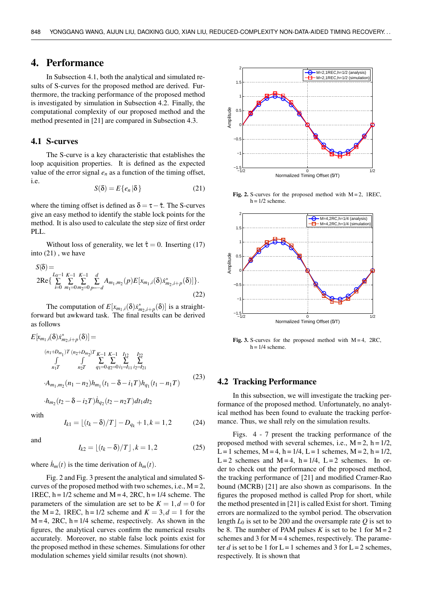# 4. Performance

In Subsection 4.1, both the analytical and simulated results of S-curves for the proposed method are derived. Furthermore, the tracking performance of the proposed method is investigated by simulation in Subsection 4.2. Finally, the computational complexity of our proposed method and the method presented in [21] are compared in Subsection 4.3.

#### 4.1 S-curves

The S-curve is a key characteristic that establishes the loop acquisition properties. It is defined as the expected value of the error signal  $e_n$  as a function of the timing offset, i.e.

$$
S(\delta) = E\{e_n | \delta\}
$$
 (21)

where the timing offset is defined as  $\delta = \tau - \hat{\tau}$ . The S-curves give an easy method to identify the stable lock points for the method. It is also used to calculate the step size of first order PLL.

Without loss of generality, we let  $\hat{\tau} = 0$ . Inserting (17) into (21) , we have

$$
S(\delta) =
$$
  
\n
$$
2\text{Re}\left\{\sum_{i=0}^{L_0-1}\sum_{m_1=0}^{K-1}\sum_{m_2=0}^{K-1}\sum_{p=-d}^{d}A_{m_1,m_2}(p)E[x_{m_1,i}(\delta)x_{m_2,i+p}^*(\delta)]\right\}.
$$
  
\n(22)

The computation of  $E[x_{m_1,i}(\delta)x^*_{m_2,i+p}(\delta)]$  is a straightforward but awkward task. The final results can be derived as follows

$$
E[x_{m_1,i}(\delta)x_{m_2,i+p}^*(\delta)] =
$$
  
\n
$$
(n_1+D_{m_1})T (n_2+D_{m_2})T K-1 K-1 I_{12} I_{22}
$$
  
\n
$$
\int_{n_1T} \int_{n_2T} \sum_{q_1=0}^{n_2T} \sum_{q_2=0}^{n_1} \sum_{i_1=i_1}^{i_2} \sum_{i_2=i_1}^{i_2} \sum_{i_1=1}^{i_2} \sum_{i_1=1}^{i_1} \sum_{i_2=i_2}^{i_2} \sum_{i_1=1}^{i_2} \sum_{i_1=1}^{i_2} \sum_{i_1=1}^{i_2} \sum_{i_1=1}^{i_2} \sum_{i_1=1}^{i_2} \sum_{i_1=1}^{i_2} \sum_{i_1=1}^{i_2} \sum_{i_1=1}^{i_2} \sum_{i_1=1}^{i_2} \sum_{i_1=1}^{i_2} \sum_{i_1=1}^{i_2} \sum_{i_1=1}^{i_2} \sum_{i_1=1}^{i_2} \sum_{i_1=1}^{i_2} \sum_{i_1=1}^{i_2} \sum_{i_1=1}^{i_2} \sum_{i_1=1}^{i_2} \sum_{i_1=1}^{i_2} \sum_{i_1=1}^{i_2} \sum_{i_1=1}^{i_2} \sum_{i_1=1}^{i_2} \sum_{i_1=1}^{i_2} \sum_{i_1=1}^{i_2} \sum_{i_1=1}^{i_2} \sum_{i_1=1}^{i_2} \sum_{i_1=1}^{i_2} \sum_{i_1=1}^{i_2} \sum_{i_1=1}^{i_2} \sum_{i_1=1}^{i_2} \sum_{i_1=1}^{i_2} \sum_{i_1=1}^{i_2} \sum_{i_1=1}^{i_2} \sum_{i_1=1}^{i_2} \sum_{i_1=1}^{i_2} \sum_{i_1=1}^{i_2} \sum_{i_1=1}^{i_2} \sum_{i_1=1}^{i_2} \sum_{i_1=1}^{i_2} \sum_{i_1=1}^{i_2} \sum_{i_1=1}^{
$$

 $\cdot h_{m_2}(t_2 - \delta - i_2T)h_{q_2}(t_2 - n_2T)dt_1dt_2$ 

with

$$
I_{k1} = \lfloor (t_k - \delta)/T \rfloor - D_{q_k} + 1, k = 1, 2 \tag{24}
$$

and

$$
I_{k2} = \lfloor (t_k - \delta)/T \rfloor, k = 1, 2 \tag{25}
$$

where  $\dot{h}_m(t)$  is the time derivation of  $h_m(t)$ .

Fig. 2 and Fig. 3 present the analytical and simulated Scurves of the proposed method with two schemes, i.e.,  $M = 2$ , 1REC,  $h = 1/2$  scheme and  $M = 4$ , 2RC,  $h = 1/4$  scheme. The parameters of the simulation are set to be  $K = 1, d = 0$  for the M = 2, 1REC, h =  $1/2$  scheme and  $K = 3, d = 1$  for the  $M = 4$ , 2RC, h = 1/4 scheme, respectively. As shown in the figures, the analytical curves confirm the numerical results accurately. Moreover, no stable false lock points exist for the proposed method in these schemes. Simulations for other modulation schemes yield similar results (not shown).



Fig. 2. S-curves for the proposed method with  $M = 2$ , 1REC,  $h = 1/2$  scheme.



Fig. 3. S-curves for the proposed method with  $M = 4$ , 2RC,  $h = 1/4$  scheme.

#### 4.2 Tracking Performance

In this subsection, we will investigate the tracking performance of the proposed method. Unfortunately, no analytical method has been found to evaluate the tracking performance. Thus, we shall rely on the simulation results.

Figs. 4 - 7 present the tracking performance of the proposed method with several schemes, i.e.,  $M = 2$ ,  $h = 1/2$ , L = 1 schemes,  $M = 4$ , h = 1/4, L = 1 schemes,  $M = 2$ , h = 1/2,  $L = 2$  schemes and  $M = 4$ ,  $h = 1/4$ ,  $L = 2$  schemes. In order to check out the performance of the proposed method, the tracking performance of [21] and modified Cramer-Rao bound (MCRB) [21] are also shown as comparisons. In the figures the proposed method is called Prop for short, while the method presented in [21] is called Exist for short. Timing errors are normalized to the symbol period. The observation length  $L_0$  is set to be 200 and the oversample rate Q is set to be 8. The number of PAM pulses *K* is set to be 1 for  $M = 2$ schemes and 3 for  $M = 4$  schemes, respectively. The parameter *d* is set to be 1 for  $L = 1$  schemes and 3 for  $L = 2$  schemes, respectively. It is shown that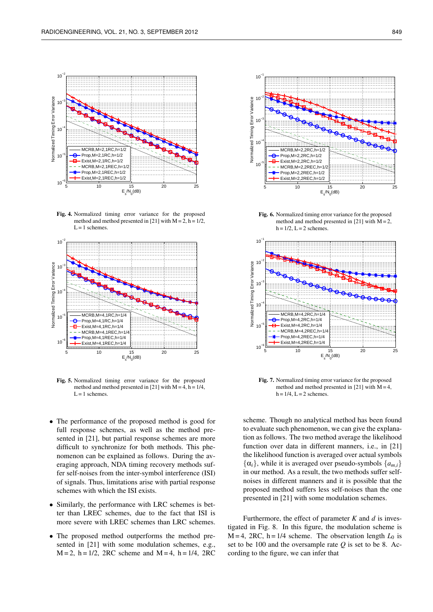

Fig. 4. Normalized timing error variance for the proposed method and method presented in [21] with  $M = 2$ ,  $h = 1/2$ ,  $L = 1$  schemes.



Fig. 5. Normalized timing error variance for the proposed method and method presented in [21] with  $M = 4$ , h = 1/4,  $L = 1$  schemes.

- The performance of the proposed method is good for full response schemes, as well as the method presented in [21], but partial response schemes are more difficult to synchronize for both methods. This phenomenon can be explained as follows. During the averaging approach, NDA timing recovery methods suffer self-noises from the inter-symbol interference (ISI) of signals. Thus, limitations arise with partial response schemes with which the ISI exists.
- Similarly, the performance with LRC schemes is better than LREC schemes, due to the fact that ISI is more severe with LREC schemes than LRC schemes.
- The proposed method outperforms the method presented in [21] with some modulation schemes, e.g.,  $M = 2$ ,  $h = 1/2$ , 2RC scheme and  $M = 4$ ,  $h = 1/4$ , 2RC



Fig. 6. Normalized timing error variance for the proposed method and method presented in [21] with  $M = 2$ ,  $h = 1/2$ ,  $L = 2$  schemes.



Fig. 7. Normalized timing error variance for the proposed method and method presented in [21] with  $M = 4$ ,  $h = 1/4$ ,  $L = 2$  schemes.

scheme. Though no analytical method has been found to evaluate such phenomenon, we can give the explanation as follows. The two method average the likelihood function over data in different manners, i.e., in [21] the likelihood function is averaged over actual symbols  $\{\alpha_i\}$ , while it is averaged over pseudo-symbols  $\{a_{m,i}\}$ in our method. As a result, the two methods suffer selfnoises in different manners and it is possible that the proposed method suffers less self-noises than the one presented in [21] with some modulation schemes.

Furthermore, the effect of parameter  $K$  and  $d$  is investigated in Fig. 8. In this figure, the modulation scheme is  $M = 4$ , 2RC, h = 1/4 scheme. The observation length  $L_0$  is set to be 100 and the oversample rate *Q* is set to be 8. According to the figure, we can infer that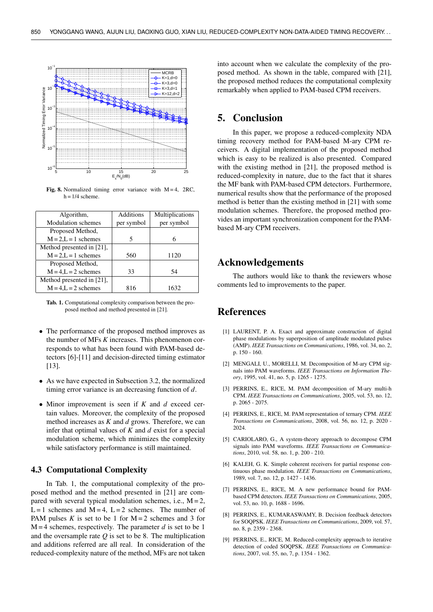

Fig. 8. Normalized timing error variance with  $M = 4$ , 2RC,  $h = 1/4$  scheme.

| Algorithm,                | Additions  | Multiplications |
|---------------------------|------------|-----------------|
| <b>Modulation</b> schemes | per symbol | per symbol      |
| Proposed Method,          |            |                 |
| $M = 2, L = 1$ schemes    | 5          | 6               |
| Method presented in [21], |            |                 |
| $M = 2$ , $L = 1$ schemes | 560        | 1120            |
| Proposed Method,          |            |                 |
| $M = 4$ , $L = 2$ schemes | 33         | 54              |
| Method presented in [21], |            |                 |
| $M = 4$ , $L = 2$ schemes | 816        | 1632            |

Tab. 1. Computational complexity comparison between the proposed method and method presented in [21].

- The performance of the proposed method improves as the number of MFs *K* increases. This phenomenon corresponds to what has been found with PAM-based detectors [6]-[11] and decision-directed timing estimator [13].
- As we have expected in Subsection 3.2, the normalized timing error variance is an decreasing function of *d*.
- Minor improvement is seen if *K* and *d* exceed certain values. Moreover, the complexity of the proposed method increases as *K* and *d* grows. Therefore, we can infer that optimal values of *K* and *d* exist for a special modulation scheme, which minimizes the complexity while satisfactory performance is still maintained.

#### 4.3 Computational Complexity

In Tab. 1, the computational complexity of the proposed method and the method presented in [21] are compared with several typical modulation schemes, i.e.,  $M = 2$ , L = 1 schemes and  $M = 4$ , L = 2 schemes. The number of PAM pulses  $K$  is set to be 1 for  $M = 2$  schemes and 3 for  $M = 4$  schemes, respectively. The parameter *d* is set to be 1 and the oversample rate  $Q$  is set to be 8. The multiplication and additions referred are all real. In consideration of the reduced-complexity nature of the method, MFs are not taken

into account when we calculate the complexity of the proposed method. As shown in the table, compared with [21], the proposed method reduces the computational complexity remarkably when applied to PAM-based CPM receivers.

# 5. Conclusion

In this paper, we propose a reduced-complexity NDA timing recovery method for PAM-based M-ary CPM receivers. A digital implementation of the proposed method which is easy to be realized is also presented. Compared with the existing method in [21], the proposed method is reduced-complexity in nature, due to the fact that it shares the MF bank with PAM-based CPM detectors. Furthermore, numerical results show that the performance of the proposed method is better than the existing method in [21] with some modulation schemes. Therefore, the proposed method provides an important synchronization component for the PAMbased M-ary CPM receivers.

# Acknowledgements

The authors would like to thank the reviewers whose comments led to improvements to the paper.

# References

- [1] LAURENT, P. A. Exact and approximate construction of digital phase modulations by superposition of amplitude modulated pulses (AMP). *IEEE Transactions on Communications*, 1986, vol. 34, no. 2, p. 150 - 160.
- [2] MENGALI, U., MORELLI, M. Decomposition of M-ary CPM signals into PAM waveforms. *IEEE Transactions on Information Theory*, 1995, vol. 41, no. 5, p. 1265 - 1275.
- [3] PERRINS, E., RICE, M. PAM decomposition of M-ary multi-h CPM. *IEEE Transactions on Communications*, 2005, vol. 53, no. 12, p. 2065 - 2075.
- [4] PERRINS, E., RICE, M. PAM representation of ternary CPM. *IEEE Transactions on Communications*, 2008, vol. 56, no. 12, p. 2020 - 2024.
- [5] CARIOLARO, G., A system-theory approach to decompose CPM signals into PAM waveforms. *IEEE Transactions on Communications*, 2010, vol. 58, no. 1, p. 200 - 210.
- [6] KALEH, G. K. Simple coherent receivers for partial response continuous phase modulation. *IEEE Transactions on Communications*, 1989, vol. 7, no. 12, p. 1427 - 1436.
- [7] PERRINS, E., RICE, M. A new performance bound for PAMbased CPM detectors. *IEEE Transactions on Communications*, 2005, vol. 53, no. 10, p. 1688 - 1696.
- [8] PERRINS, E., KUMARASWAMY, B. Decision feedback detectors for SOQPSK. *IEEE Transactions on Communications*, 2009, vol. 57, no. 8, p. 2359 - 2368.
- [9] PERRINS, E., RICE, M. Reduced-complexity approach to iterative detection of coded SOQPSK. *IEEE Transactions on Communications*, 2007, vol. 55, no, 7, p. 1354 - 1362.